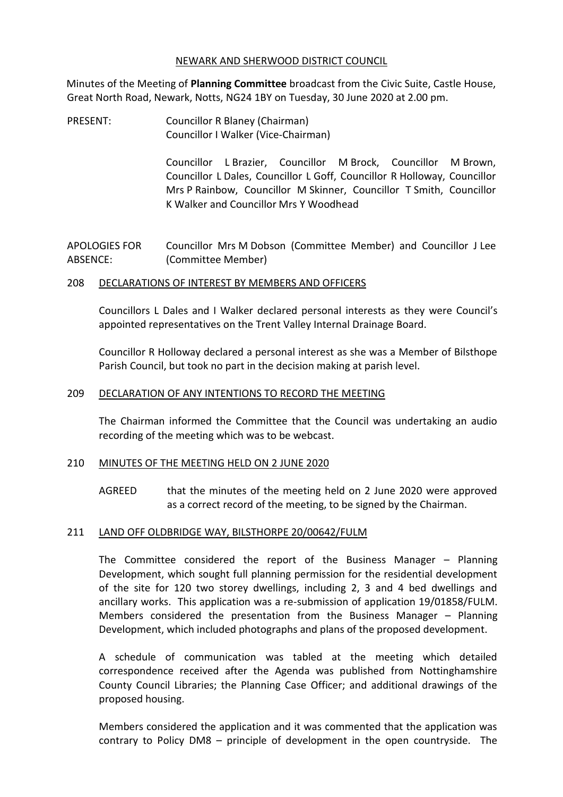#### NEWARK AND SHERWOOD DISTRICT COUNCIL

Minutes of the Meeting of **Planning Committee** broadcast from the Civic Suite, Castle House, Great North Road, Newark, Notts, NG24 1BY on Tuesday, 30 June 2020 at 2.00 pm.

PRESENT: Councillor R Blaney (Chairman) Councillor I Walker (Vice-Chairman)

> Councillor L Brazier, Councillor M Brock, Councillor M Brown, Councillor L Dales, Councillor L Goff, Councillor R Holloway, Councillor Mrs P Rainbow, Councillor M Skinner, Councillor T Smith, Councillor K Walker and Councillor Mrs Y Woodhead

APOLOGIES FOR ABSENCE: Councillor Mrs M Dobson (Committee Member) and Councillor J Lee (Committee Member)

#### 208 DECLARATIONS OF INTEREST BY MEMBERS AND OFFICERS

Councillors L Dales and I Walker declared personal interests as they were Council's appointed representatives on the Trent Valley Internal Drainage Board.

Councillor R Holloway declared a personal interest as she was a Member of Bilsthope Parish Council, but took no part in the decision making at parish level.

### 209 DECLARATION OF ANY INTENTIONS TO RECORD THE MEETING

The Chairman informed the Committee that the Council was undertaking an audio recording of the meeting which was to be webcast.

# 210 MINUTES OF THE MEETING HELD ON 2 JUNE 2020

AGREED that the minutes of the meeting held on 2 June 2020 were approved as a correct record of the meeting, to be signed by the Chairman.

# 211 LAND OFF OLDBRIDGE WAY, BILSTHORPE 20/00642/FULM

The Committee considered the report of the Business Manager – Planning Development, which sought full planning permission for the residential development of the site for 120 two storey dwellings, including 2, 3 and 4 bed dwellings and ancillary works. This application was a re-submission of application 19/01858/FULM. Members considered the presentation from the Business Manager – Planning Development, which included photographs and plans of the proposed development.

A schedule of communication was tabled at the meeting which detailed correspondence received after the Agenda was published from Nottinghamshire County Council Libraries; the Planning Case Officer; and additional drawings of the proposed housing.

Members considered the application and it was commented that the application was contrary to Policy DM8 – principle of development in the open countryside. The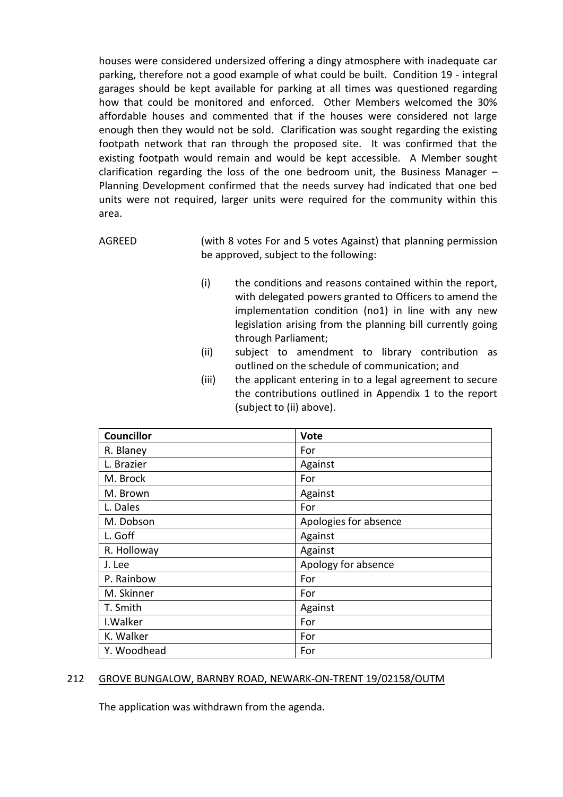houses were considered undersized offering a dingy atmosphere with inadequate car parking, therefore not a good example of what could be built. Condition 19 - integral garages should be kept available for parking at all times was questioned regarding how that could be monitored and enforced. Other Members welcomed the 30% affordable houses and commented that if the houses were considered not large enough then they would not be sold. Clarification was sought regarding the existing footpath network that ran through the proposed site. It was confirmed that the existing footpath would remain and would be kept accessible. A Member sought clarification regarding the loss of the one bedroom unit, the Business Manager – Planning Development confirmed that the needs survey had indicated that one bed units were not required, larger units were required for the community within this area.

AGREED (with 8 votes For and 5 votes Against) that planning permission be approved, subject to the following:

- (i) the conditions and reasons contained within the report, with delegated powers granted to Officers to amend the implementation condition (no1) in line with any new legislation arising from the planning bill currently going through Parliament;
- (ii) subject to amendment to library contribution as outlined on the schedule of communication; and
- (iii) the applicant entering in to a legal agreement to secure the contributions outlined in Appendix 1 to the report (subject to (ii) above).

| <b>Councillor</b> | <b>Vote</b>           |
|-------------------|-----------------------|
| R. Blaney         | For                   |
| L. Brazier        | Against               |
| M. Brock          | For                   |
| M. Brown          | Against               |
| L. Dales          | For                   |
| M. Dobson         | Apologies for absence |
| L. Goff           | Against               |
| R. Holloway       | Against               |
| J. Lee            | Apology for absence   |
| P. Rainbow        | For                   |
| M. Skinner        | For                   |
| T. Smith          | Against               |
| I. Walker         | For                   |
| K. Walker         | For                   |
| Y. Woodhead       | For                   |

# 212 GROVE BUNGALOW, BARNBY ROAD, NEWARK-ON-TRENT 19/02158/OUTM

The application was withdrawn from the agenda.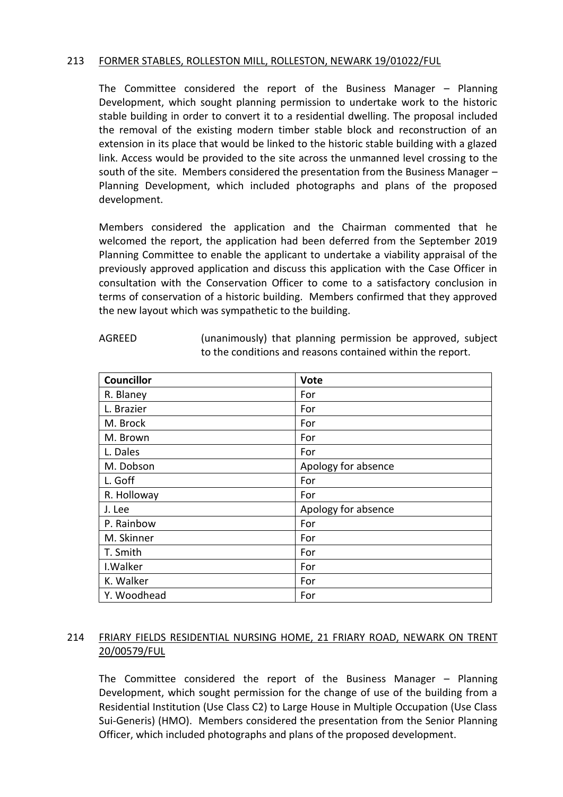# 213 FORMER STABLES, ROLLESTON MILL, ROLLESTON, NEWARK 19/01022/FUL

The Committee considered the report of the Business Manager – Planning Development, which sought planning permission to undertake work to the historic stable building in order to convert it to a residential dwelling. The proposal included the removal of the existing modern timber stable block and reconstruction of an extension in its place that would be linked to the historic stable building with a glazed link. Access would be provided to the site across the unmanned level crossing to the south of the site. Members considered the presentation from the Business Manager – Planning Development, which included photographs and plans of the proposed development.

Members considered the application and the Chairman commented that he welcomed the report, the application had been deferred from the September 2019 Planning Committee to enable the applicant to undertake a viability appraisal of the previously approved application and discuss this application with the Case Officer in consultation with the Conservation Officer to come to a satisfactory conclusion in terms of conservation of a historic building. Members confirmed that they approved the new layout which was sympathetic to the building.

| г<br>GRF |
|----------|
|----------|

(unanimously) that planning permission be approved, subject to the conditions and reasons contained within the report.

| <b>Councillor</b> | Vote                |
|-------------------|---------------------|
| R. Blaney         | For                 |
| L. Brazier        | For                 |
| M. Brock          | For                 |
| M. Brown          | For                 |
| L. Dales          | For                 |
| M. Dobson         | Apology for absence |
| L. Goff           | For                 |
| R. Holloway       | For                 |
| J. Lee            | Apology for absence |
| P. Rainbow        | For                 |
| M. Skinner        | For                 |
| T. Smith          | For                 |
| I. Walker         | For                 |
| K. Walker         | For                 |
| Y. Woodhead       | For                 |

# 214 FRIARY FIELDS RESIDENTIAL NURSING HOME, 21 FRIARY ROAD, NEWARK ON TRENT 20/00579/FUL

The Committee considered the report of the Business Manager – Planning Development, which sought permission for the change of use of the building from a Residential Institution (Use Class C2) to Large House in Multiple Occupation (Use Class Sui-Generis) (HMO). Members considered the presentation from the Senior Planning Officer, which included photographs and plans of the proposed development.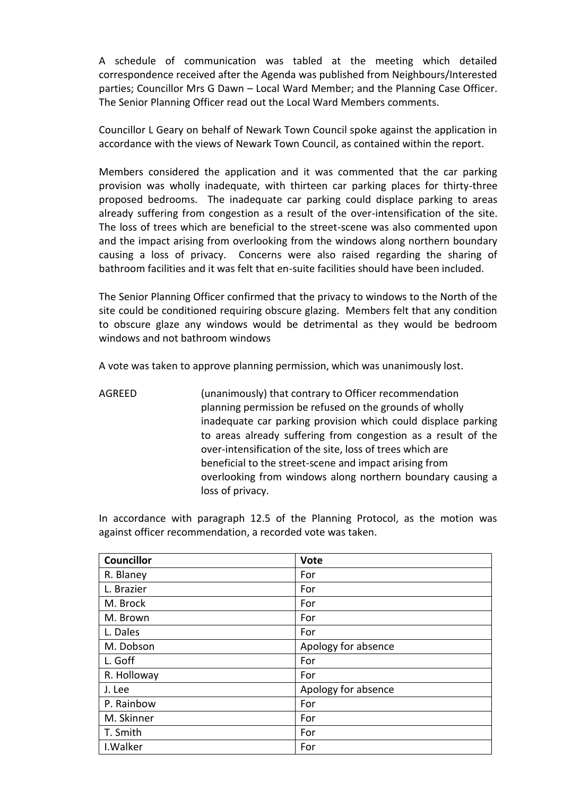A schedule of communication was tabled at the meeting which detailed correspondence received after the Agenda was published from Neighbours/Interested parties; Councillor Mrs G Dawn – Local Ward Member; and the Planning Case Officer. The Senior Planning Officer read out the Local Ward Members comments.

Councillor L Geary on behalf of Newark Town Council spoke against the application in accordance with the views of Newark Town Council, as contained within the report.

Members considered the application and it was commented that the car parking provision was wholly inadequate, with thirteen car parking places for thirty-three proposed bedrooms. The inadequate car parking could displace parking to areas already suffering from congestion as a result of the over-intensification of the site. The loss of trees which are beneficial to the street-scene was also commented upon and the impact arising from overlooking from the windows along northern boundary causing a loss of privacy. Concerns were also raised regarding the sharing of bathroom facilities and it was felt that en-suite facilities should have been included.

The Senior Planning Officer confirmed that the privacy to windows to the North of the site could be conditioned requiring obscure glazing. Members felt that any condition to obscure glaze any windows would be detrimental as they would be bedroom windows and not bathroom windows

A vote was taken to approve planning permission, which was unanimously lost.

AGREED (unanimously) that contrary to Officer recommendation planning permission be refused on the grounds of wholly inadequate car parking provision which could displace parking to areas already suffering from congestion as a result of the over-intensification of the site, loss of trees which are beneficial to the street-scene and impact arising from overlooking from windows along northern boundary causing a loss of privacy.

In accordance with paragraph 12.5 of the Planning Protocol, as the motion was against officer recommendation, a recorded vote was taken.

| <b>Councillor</b> | Vote                |
|-------------------|---------------------|
| R. Blaney         | For                 |
| L. Brazier        | For                 |
| M. Brock          | For                 |
| M. Brown          | For                 |
| L. Dales          | For                 |
| M. Dobson         | Apology for absence |
| L. Goff           | For                 |
| R. Holloway       | For                 |
| J. Lee            | Apology for absence |
| P. Rainbow        | For                 |
| M. Skinner        | For                 |
| T. Smith          | For                 |
| I. Walker         | For                 |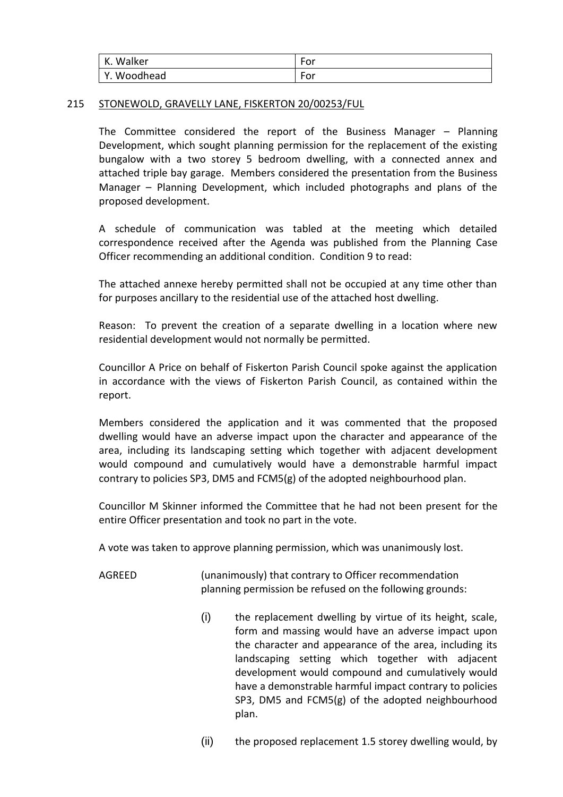| . Walker    | $\overline{\phantom{a}}$        |
|-------------|---------------------------------|
| ΙK.         | For                             |
| Y. Woodhead | $\overline{\phantom{a}}$<br>For |

#### 215 STONEWOLD, GRAVELLY LANE, FISKERTON 20/00253/FUL

The Committee considered the report of the Business Manager – Planning Development, which sought planning permission for the replacement of the existing bungalow with a two storey 5 bedroom dwelling, with a connected annex and attached triple bay garage. Members considered the presentation from the Business Manager – Planning Development, which included photographs and plans of the proposed development.

A schedule of communication was tabled at the meeting which detailed correspondence received after the Agenda was published from the Planning Case Officer recommending an additional condition. Condition 9 to read:

The attached annexe hereby permitted shall not be occupied at any time other than for purposes ancillary to the residential use of the attached host dwelling.

Reason: To prevent the creation of a separate dwelling in a location where new residential development would not normally be permitted.

Councillor A Price on behalf of Fiskerton Parish Council spoke against the application in accordance with the views of Fiskerton Parish Council, as contained within the report.

Members considered the application and it was commented that the proposed dwelling would have an adverse impact upon the character and appearance of the area, including its landscaping setting which together with adjacent development would compound and cumulatively would have a demonstrable harmful impact contrary to policies SP3, DM5 and  $FCM5(g)$  of the adopted neighbourhood plan.

Councillor M Skinner informed the Committee that he had not been present for the entire Officer presentation and took no part in the vote.

A vote was taken to approve planning permission, which was unanimously lost.

- AGREED (unanimously) that contrary to Officer recommendation planning permission be refused on the following grounds:
	- (i) the replacement dwelling by virtue of its height, scale, form and massing would have an adverse impact upon the character and appearance of the area, including its landscaping setting which together with adjacent development would compound and cumulatively would have a demonstrable harmful impact contrary to policies SP3, DM5 and FCM5(g) of the adopted neighbourhood plan.
	- (ii) the proposed replacement 1.5 storey dwelling would, by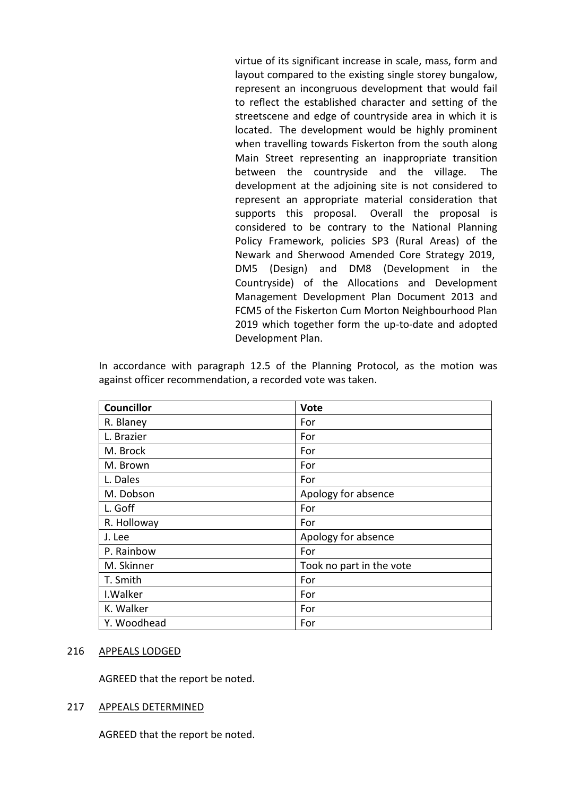virtue of its significant increase in scale, mass, form and layout compared to the existing single storey bungalow, represent an incongruous development that would fail to reflect the established character and setting of the streetscene and edge of countryside area in which it is located. The development would be highly prominent when travelling towards Fiskerton from the south along Main Street representing an inappropriate transition between the countryside and the village. The development at the adjoining site is not considered to represent an appropriate material consideration that supports this proposal. Overall the proposal is considered to be contrary to the National Planning Policy Framework, policies SP3 (Rural Areas) of the Newark and Sherwood Amended Core Strategy 2019, DM5 (Design) and DM8 (Development in the Countryside) of the Allocations and Development Management Development Plan Document 2013 and FCM5 of the Fiskerton Cum Morton Neighbourhood Plan 2019 which together form the up-to-date and adopted Development Plan.

In accordance with paragraph 12.5 of the Planning Protocol, as the motion was against officer recommendation, a recorded vote was taken.

| <b>Councillor</b> | <b>Vote</b>              |
|-------------------|--------------------------|
| R. Blaney         | For                      |
| L. Brazier        | For                      |
| M. Brock          | For                      |
| M. Brown          | For                      |
| L. Dales          | For                      |
| M. Dobson         | Apology for absence      |
| L. Goff           | For                      |
| R. Holloway       | For                      |
| J. Lee            | Apology for absence      |
| P. Rainbow        | For                      |
| M. Skinner        | Took no part in the vote |
| T. Smith          | For                      |
| I. Walker         | For                      |
| K. Walker         | For                      |
| Y. Woodhead       | For                      |

#### 216 APPEALS LODGED

AGREED that the report be noted.

# 217 APPEALS DETERMINED

AGREED that the report be noted.